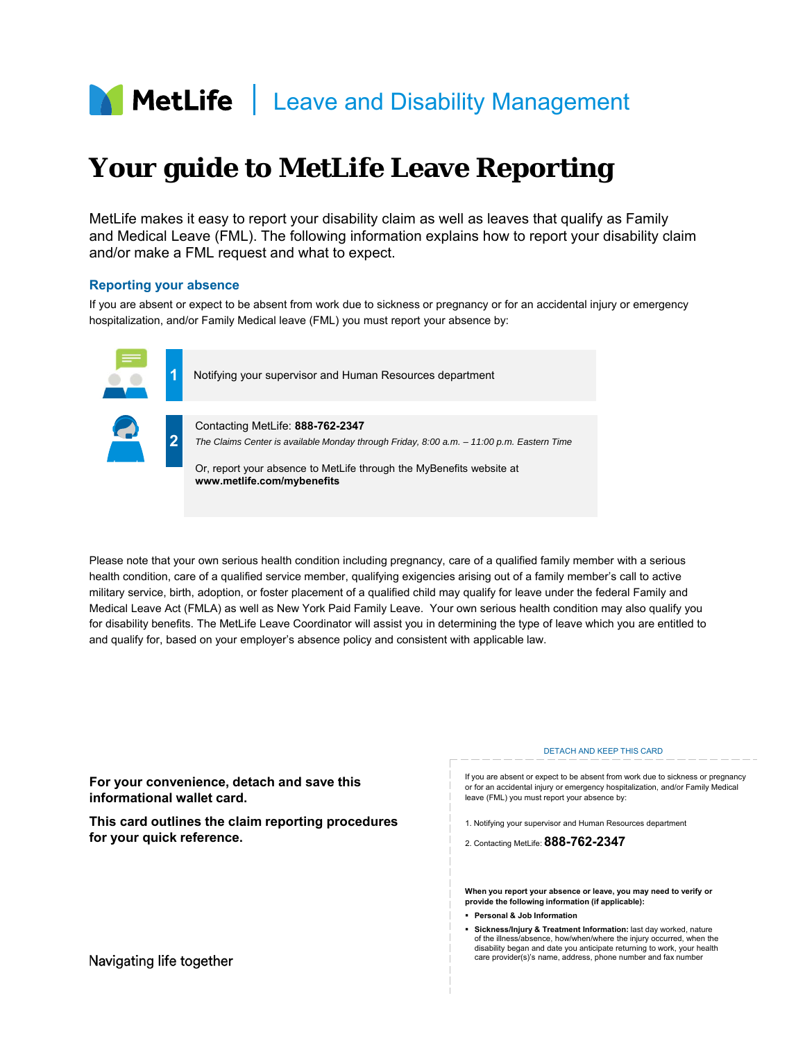

# **Your guide to MetLife Leave Reporting**

MetLife makes it easy to report your disability claim as well as leaves that qualify as Family and Medical Leave (FML). The following information explains how to report your disability claim and/or make a FML request and what to expect.

# **Reporting your absence**

If you are absent or expect to be absent from work due to sickness or pregnancy or for an accidental injury or emergency hospitalization, and/or Family Medical leave (FML) you must report your absence by:



 military service, birth, adoption, or foster placement of a qualified child may qualify for leave under the federal Family and Please note that your own serious health condition including pregnancy, care of a qualified family member with a serious health condition, care of a qualified service member, qualifying exigencies arising out of a family member's call to active Medical Leave Act (FMLA) as well as New York Paid Family Leave. Your own serious health condition may also qualify you for disability benefits. The MetLife Leave Coordinator will assist you in determining the type of leave which you are entitled to and qualify for, based on your employer's absence policy and consistent with applicable law.

|                                                                                | <b>DETACH AND KEEP THIS CARD</b>                                                                                                                                                                                                                                                     |
|--------------------------------------------------------------------------------|--------------------------------------------------------------------------------------------------------------------------------------------------------------------------------------------------------------------------------------------------------------------------------------|
| For your convenience, detach and save this<br>informational wallet card.       | If you are absent or expect to be absent from work due to sickness or pregnancy<br>or for an accidental injury or emergency hospitalization, and/or Family Medical<br>leave (FML) you must report your absence by:                                                                   |
| This card outlines the claim reporting procedures<br>for your quick reference. | 1. Notifying your supervisor and Human Resources department                                                                                                                                                                                                                          |
|                                                                                | 2. Contacting MetLife: 888-762-2347                                                                                                                                                                                                                                                  |
|                                                                                |                                                                                                                                                                                                                                                                                      |
|                                                                                | When you report your absence or leave, you may need to verify or<br>provide the following information (if applicable):                                                                                                                                                               |
|                                                                                | • Personal & Job Information                                                                                                                                                                                                                                                         |
| Navigating life together                                                       | Sickness/Injury & Treatment Information: last day worked, nature<br>of the illness/absence, how/when/where the injury occurred, when the<br>disability began and date you anticipate returning to work, your health<br>care provider(s)'s name, address, phone number and fax number |
|                                                                                |                                                                                                                                                                                                                                                                                      |